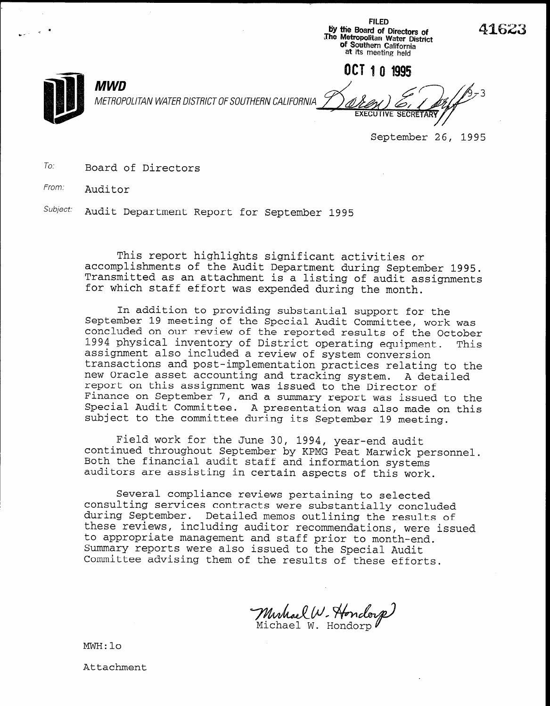FILED by the Board of Directors of<br>The Metropolitan Water Distric 'Of Southern California at its meeting held

METROPOLITAN WATER DISTRICT OF SOUTHERN CALIFORNIA

OCT 10 1995  $MWD$ EXECUTIVE SECRETA

September 26, 1995

41623

To: Board of Directors

From: Auditor

Subject: Audit Department Report for September 1995

This report highlights significant activities or accomplishments of the Audit Department during September 1995. accomprismments of the Audit Department during September 199.<br>Transmitted as an attachment is a listing of audit assignment for which staff effort was expended during the month.

In addition to providing substantial support for the September 19 meeting of the Special Audit Committee, work was concluded on our review of the reported results of the October conciuded on our review of the reported results of the October<br>1994 physical inventory of District operating equipment. This assignment also included a review of system conversion conversion assignment also included a review of system conversion transactions and post-implementation practices relating to the new Oracle asset accounting and tracking system. A detailed report on this assignment was issued to the Director of Finance on September 7, and a summary report was issued to the Special Audit Committee. A presentation was also made on this subject to the committee during its September 19 meeting.

Field work for the June 30, 1994, year-end audit rield work for the June 30, 1994, year-end audit continued throughout September by KPMG Peat Marwick pe Both the financial audit staff and information systems<br>auditors are assisting in certain aspects of this work.

Several compliance reviews pertaining to selected Several compliance reviews pertaining to selected consulting services contracts were substantially concluded during September. Detailed memos outlining the results of these reviews, including auditor recommendations, were issued to appropriate management and staff prior to month-end. Summary reports were also issued to the Special Audit Committee advising them of the results of these efforts.

 $\omega$ Mirhael W. Hond

 $MWH:10$